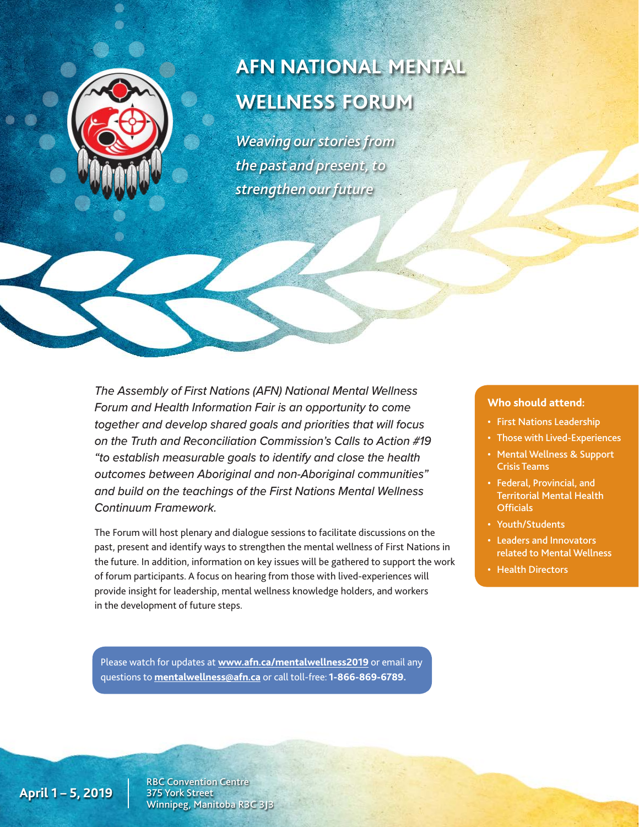

# **AFN NATIONAL MENTAL WELLNESS FORUM**

*Weaving our stories from the past and present, to strengthen our future*

*The Assembly of First Nations (AFN) National Mental Wellness Forum and Health Information Fair is an opportunity to come together and develop shared goals and priorities that will focus on the Truth and Reconciliation Commission's Calls to Action #19 "to establish measurable goals to identify and close the health outcomes between Aboriginal and non-Aboriginal communities" and build on the teachings of the First Nations Mental Wellness Continuum Framework.*

The Forum will host plenary and dialogue sessions to facilitate discussions on the past, present and identify ways to strengthen the mental wellness of First Nations in the future. In addition, information on key issues will be gathered to support the work of forum participants. A focus on hearing from those with lived-experiences will provide insight for leadership, mental wellness knowledge holders, and workers in the development of future steps.

#### Please watch for updates at **[www.afn.ca/mentalwellness2019](http://www.afn.ca/mentalwellness2019)** or email any questions to **[mentalwellness@afn.ca](mailto:mentalwellness@afn.ca)** or call toll-free: **1-866-869-6789.**

#### **Who should attend:**

- First Nations Leadership
- Those with Lived-Experiences
- Mental Wellness & Support Crisis Teams
- Federal, Provincial, and Territorial Mental Health **Officials**
- Youth/Students
- Leaders and Innovators related to Mental Wellness
- Health Directors

**April 1 – 5, 2019**

RBC Convention Centre 375 York Street Winnipeg, Manitoba R3C 3J3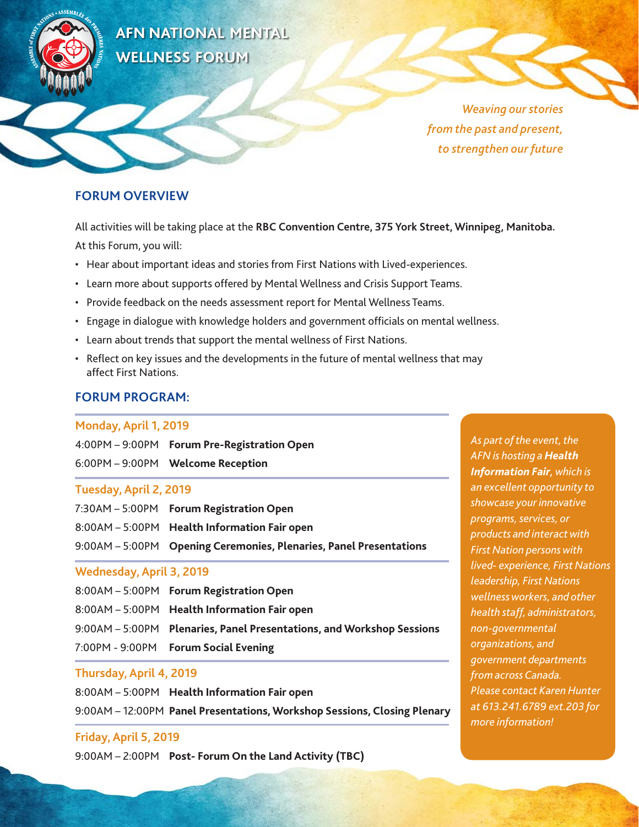

**AFN NATIONAL MENTAL WELLNESS FORUM** 

> *Weaving our stories from the past and present, to strengthen our future*

# **FORUM OVERVIEW**

All activities will be taking place at the **RBC Convention Centre, 375 York Street, Winnipeg, Manitoba.**  At this Forum, you will:

- Hear about important ideas and stories from First Nations with Lived-experiences.
- Learn more about supports offered by Mental Wellness and Crisis Support Teams.
- Provide feedback on the needs assessment report for Mental Wellness Teams.
- Engage in dialogue with knowledge holders and government officials on mental wellness.
- Learn about trends that support the mental wellness of First Nations.
- Reflect on key issues and the developments in the future of mental wellness that may affect First Nations.

# **FORUM PROGRAM:**

#### **Monday, April 1, 2019**

|                        | 4:00PM - 9:00PM Forum Pre-Registration Open |  |  |  |
|------------------------|---------------------------------------------|--|--|--|
|                        | 6:00PM - 9:00PM     Welcome Reception       |  |  |  |
| Tuesday, April 2, 2019 |                                             |  |  |  |
|                        | 7:30AM – 5:00PM Forum Registration Open     |  |  |  |

| 8:00AM - 5:00PM Health Information Fair open                       |
|--------------------------------------------------------------------|
| 9:00AM - 5:00PM Opening Ceremonies, Plenaries, Panel Presentations |

# **Wednesday, April 3, 2019**

| 8:00AM - 5:00PM Forum Registration Open                               |
|-----------------------------------------------------------------------|
| 8:00AM - 5:00PM Health Information Fair open                          |
| 9:00AM - 5:00PM Plenaries, Panel Presentations, and Workshop Sessions |
| 7:00PM - 9:00PM Forum Social Evening                                  |

# **Thursday, April 4, 2019**

8:00AM – 5:00PM **Health Information Fair open**  9:00AM – 12:00PM **Panel Presentations, Workshop Sessions, Closing Plenary**

# **Friday, April 5, 2019**

9:00AM – 2:00PM **Post- Forum On the Land Activity (TBC)**

*As part of the event, the AFN is hosting a Health Information Fair, which is an excellent opportunity to showcase your innovative programs, services, or products and interact with First Nation persons with lived- experience, First Nations leadership, First Nations wellness workers, and other health staff, administrators, non-governmental organizations, and government departments from across Canada. Please contact Karen Hunter at 613.241.6789 ext.203 for more information!*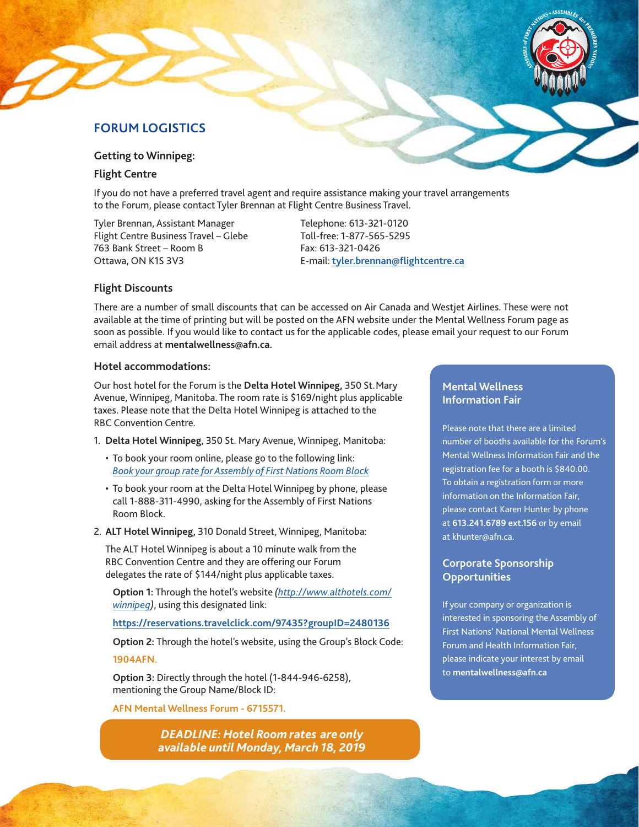# **FORUM LOGISTICS**

**Getting to Winnipeg:**

#### **Flight Centre**

If you do not have a preferred travel agent and require assistance making your travel arrangements to the Forum, please contact Tyler Brennan at Flight Centre Business Travel.

Tyler Brennan, Assistant Manager Flight Centre Business Travel – Glebe 763 Bank Street – Room B Ottawa, ON K1S 3V3

Telephone: 613-321-0120 Toll-free: 1-877-565-5295 Fax: 613-321-0426 E-mail: **[tyler.brennan@flightcentre.ca](mailto:tyler.brennan@flightcentre.ca)**

#### **Flight Discounts**

There are a number of small discounts that can be accessed on Air Canada and Westjet Airlines. These were not available at the time of printing but will be posted on the AFN website under the Mental Wellness Forum page as soon as possible. If you would like to contact us for the applicable codes, please email your request to our Forum email address at **mentalwellness@afn.ca.**

#### **Hotel accommodations:**

Our host hotel for the Forum is the **Delta Hotel Winnipeg,** 350 St.Mary Avenue, Winnipeg, Manitoba. The room rate is \$169/night plus applicable taxes. Please note that the Delta Hotel Winnipeg is attached to the RBC Convention Centre.

- 1. **Delta Hotel Winnipeg**, 350 St. Mary Avenue, Winnipeg, Manitoba:
	- To book your room online, please go to the following link: *[Book your group rate for Assembly of First Nations Room Block](https://www.marriott.com/meeting-event-hotels/group-corporate-travel/groupCorp.mi?resLinkData=Assembly%20of%20First%20Nations%20Room%20Block%5Eywgdw%60fa1fa1a%60169.00%60CAD%60false%602%604/1/19%604/5/19%603/18/19&app=resvlink&stop_mobi=yes)*
	- To book your room at the Delta Hotel Winnipeg by phone, please call 1-888-311-4990, asking for the Assembly of First Nations Room Block.
- 2. **ALT Hotel Winnipeg,** 310 Donald Street, Winnipeg, Manitoba:

The ALT Hotel Winnipeg is about a 10 minute walk from the RBC Convention Centre and they are offering our Forum delegates the rate of \$144/night plus applicable taxes.

 **Option 1:** Through the hotel's website *([http://www.althotels.com/](http://www.althotels.com/winnipeg) [winnipeg](http://www.althotels.com/winnipeg))*, using this designated link:

 **<https://reservations.travelclick.com/97435?groupID=2480136>**

 **Option 2:** Through the hotel's website, using the Group's Block Code:

**1904AFN.**

 **Option 3:** Directly through the hotel (1-844-946-6258), mentioning the Group Name/Block ID:

**AFN Mental Wellness Forum - 6715571.**

*DEADLINE: Hotel Room rates are only available until Monday, March 18, 2019*

### **Mental Wellness Information Fair**

Please note that there are a limited number of booths available for the Forum's Mental Wellness Information Fair and the registration fee for a booth is \$840.00. To obtain a registration form or more information on the Information Fair, please contact Karen Hunter by phone at **613.241.6789 ext.156** or by email at khunter@afn.ca**.** 

#### **Corporate Sponsorship Opportunities**

If your company or organization is interested in sponsoring the Assembly of First Nations' National Mental Wellness Forum and Health Information Fair, please indicate your interest by email to **[mentalwellness@afn.ca](mailto:mentalwellness@afn.ca)**